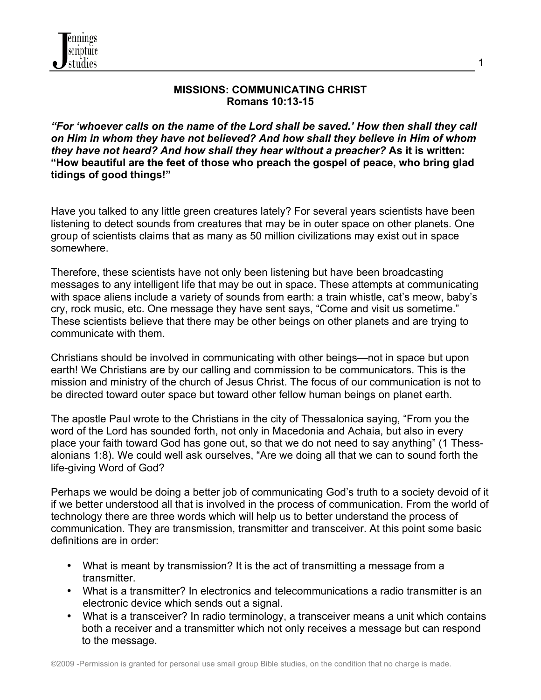

#### **MISSIONS: COMMUNICATING CHRIST Romans 10:13-15**

*"For 'whoever calls on the name of the Lord shall be saved.' How then shall they call on Him in whom they have not believed? And how shall they believe in Him of whom they have not heard? And how shall they hear without a preacher?* **As it is written: "How beautiful are the feet of those who preach the gospel of peace, who bring glad tidings of good things!"**

Have you talked to any little green creatures lately? For several years scientists have been listening to detect sounds from creatures that may be in outer space on other planets. One group of scientists claims that as many as 50 million civilizations may exist out in space somewhere.

Therefore, these scientists have not only been listening but have been broadcasting messages to any intelligent life that may be out in space. These attempts at communicating with space aliens include a variety of sounds from earth: a train whistle, cat's meow, baby's cry, rock music, etc. One message they have sent says, "Come and visit us sometime." These scientists believe that there may be other beings on other planets and are trying to communicate with them.

Christians should be involved in communicating with other beings—not in space but upon earth! We Christians are by our calling and commission to be communicators. This is the mission and ministry of the church of Jesus Christ. The focus of our communication is not to be directed toward outer space but toward other fellow human beings on planet earth.

The apostle Paul wrote to the Christians in the city of Thessalonica saying, "From you the word of the Lord has sounded forth, not only in Macedonia and Achaia, but also in every place your faith toward God has gone out, so that we do not need to say anything" (1 Thessalonians 1:8). We could well ask ourselves, "Are we doing all that we can to sound forth the life-giving Word of God?

Perhaps we would be doing a better job of communicating God's truth to a society devoid of it if we better understood all that is involved in the process of communication. From the world of technology there are three words which will help us to better understand the process of communication. They are transmission, transmitter and transceiver. At this point some basic definitions are in order:

- What is meant by transmission? It is the act of transmitting a message from a transmitter.
- What is a transmitter? In electronics and telecommunications a radio transmitter is an electronic device which sends out a signal.
- What is a transceiver? In radio terminology, a transceiver means a unit which contains both a receiver and a transmitter which not only receives a message but can respond to the message.

1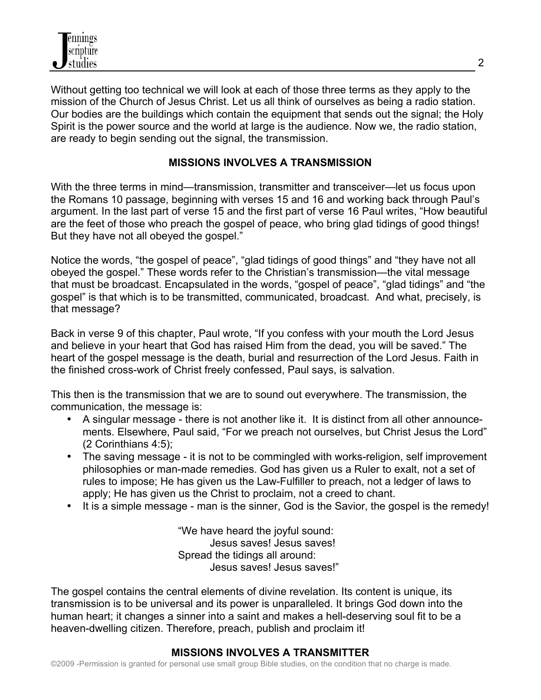Without getting too technical we will look at each of those three terms as they apply to the mission of the Church of Jesus Christ. Let us all think of ourselves as being a radio station. Our bodies are the buildings which contain the equipment that sends out the signal; the Holy Spirit is the power source and the world at large is the audience. Now we, the radio station, are ready to begin sending out the signal, the transmission.

### **MISSIONS INVOLVES A TRANSMISSION**

With the three terms in mind—transmission, transmitter and transceiver—let us focus upon the Romans 10 passage, beginning with verses 15 and 16 and working back through Paul's argument. In the last part of verse 15 and the first part of verse 16 Paul writes, "How beautiful are the feet of those who preach the gospel of peace, who bring glad tidings of good things! But they have not all obeyed the gospel."

Notice the words, "the gospel of peace", "glad tidings of good things" and "they have not all obeyed the gospel." These words refer to the Christian's transmission—the vital message that must be broadcast. Encapsulated in the words, "gospel of peace", "glad tidings" and "the gospel" is that which is to be transmitted, communicated, broadcast. And what, precisely, is that message?

Back in verse 9 of this chapter, Paul wrote, "If you confess with your mouth the Lord Jesus and believe in your heart that God has raised Him from the dead, you will be saved." The heart of the gospel message is the death, burial and resurrection of the Lord Jesus. Faith in the finished cross-work of Christ freely confessed, Paul says, is salvation.

This then is the transmission that we are to sound out everywhere. The transmission, the communication, the message is:

- A singular message there is not another like it. It is distinct from all other announcements. Elsewhere, Paul said, "For we preach not ourselves, but Christ Jesus the Lord" (2 Corinthians 4:5);
- The saving message it is not to be commingled with works-religion, self improvement philosophies or man-made remedies. God has given us a Ruler to exalt, not a set of rules to impose; He has given us the Law-Fulfiller to preach, not a ledger of laws to apply; He has given us the Christ to proclaim, not a creed to chant.
- It is a simple message man is the sinner, God is the Savior, the gospel is the remedy!

"We have heard the joyful sound: Jesus saves! Jesus saves! Spread the tidings all around: Jesus saves! Jesus saves!"

The gospel contains the central elements of divine revelation. Its content is unique, its transmission is to be universal and its power is unparalleled. It brings God down into the human heart; it changes a sinner into a saint and makes a hell-deserving soul fit to be a heaven-dwelling citizen. Therefore, preach, publish and proclaim it!

# **MISSIONS INVOLVES A TRANSMITTER**

©2009 -Permission is granted for personal use small group Bible studies, on the condition that no charge is made.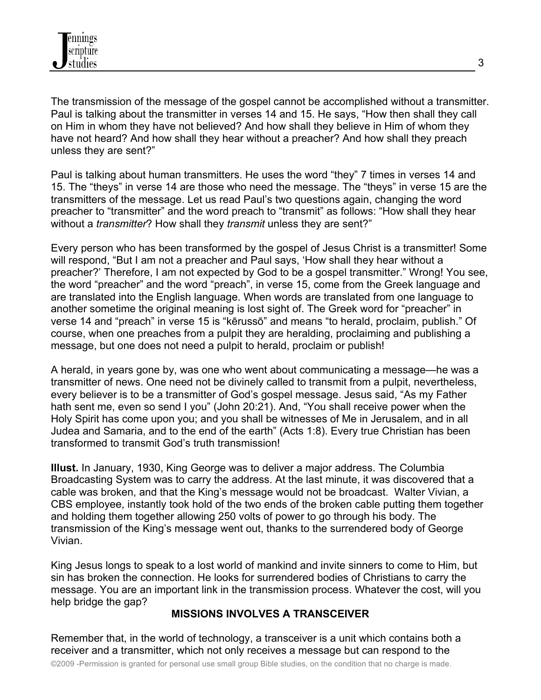The transmission of the message of the gospel cannot be accomplished without a transmitter. Paul is talking about the transmitter in verses 14 and 15. He says, "How then shall they call on Him in whom they have not believed? And how shall they believe in Him of whom they have not heard? And how shall they hear without a preacher? And how shall they preach unless they are sent?"

Paul is talking about human transmitters. He uses the word "they" 7 times in verses 14 and 15. The "theys" in verse 14 are those who need the message. The "theys" in verse 15 are the transmitters of the message. Let us read Paul's two questions again, changing the word preacher to "transmitter" and the word preach to "transmit" as follows: "How shall they hear without a *transmitter*? How shall they *transmit* unless they are sent?"

Every person who has been transformed by the gospel of Jesus Christ is a transmitter! Some will respond, "But I am not a preacher and Paul says, 'How shall they hear without a preacher?' Therefore, I am not expected by God to be a gospel transmitter." Wrong! You see, the word "preacher" and the word "preach", in verse 15, come from the Greek language and are translated into the English language. When words are translated from one language to another sometime the original meaning is lost sight of. The Greek word for "preacher" in verse 14 and "preach" in verse 15 is "kērussō" and means "to herald, proclaim, publish." Of course, when one preaches from a pulpit they are heralding, proclaiming and publishing a message, but one does not need a pulpit to herald, proclaim or publish!

A herald, in years gone by, was one who went about communicating a message—he was a transmitter of news. One need not be divinely called to transmit from a pulpit, nevertheless, every believer is to be a transmitter of God's gospel message. Jesus said, "As my Father hath sent me, even so send I you" (John 20:21). And, "You shall receive power when the Holy Spirit has come upon you; and you shall be witnesses of Me in Jerusalem, and in all Judea and Samaria, and to the end of the earth" (Acts 1:8). Every true Christian has been transformed to transmit God's truth transmission!

**Illust.** In January, 1930, King George was to deliver a major address. The Columbia Broadcasting System was to carry the address. At the last minute, it was discovered that a cable was broken, and that the King's message would not be broadcast. Walter Vivian, a CBS employee, instantly took hold of the two ends of the broken cable putting them together and holding them together allowing 250 volts of power to go through his body. The transmission of the King's message went out, thanks to the surrendered body of George Vivian.

King Jesus longs to speak to a lost world of mankind and invite sinners to come to Him, but sin has broken the connection. He looks for surrendered bodies of Christians to carry the message. You are an important link in the transmission process. Whatever the cost, will you help bridge the gap?

### **MISSIONS INVOLVES A TRANSCEIVER**

Remember that, in the world of technology, a transceiver is a unit which contains both a receiver and a transmitter, which not only receives a message but can respond to the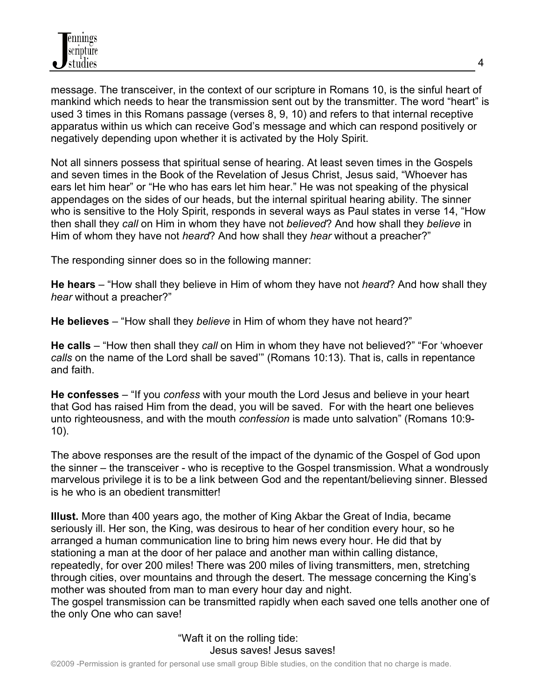message. The transceiver, in the context of our scripture in Romans 10, is the sinful heart of mankind which needs to hear the transmission sent out by the transmitter. The word "heart" is used 3 times in this Romans passage (verses 8, 9, 10) and refers to that internal receptive apparatus within us which can receive God's message and which can respond positively or negatively depending upon whether it is activated by the Holy Spirit.

Not all sinners possess that spiritual sense of hearing. At least seven times in the Gospels and seven times in the Book of the Revelation of Jesus Christ, Jesus said, "Whoever has ears let him hear" or "He who has ears let him hear." He was not speaking of the physical appendages on the sides of our heads, but the internal spiritual hearing ability. The sinner who is sensitive to the Holy Spirit, responds in several ways as Paul states in verse 14, "How then shall they *call* on Him in whom they have not *believed*? And how shall they *believe* in Him of whom they have not *heard*? And how shall they *hear* without a preacher?"

The responding sinner does so in the following manner:

**He hears** – "How shall they believe in Him of whom they have not *heard*? And how shall they *hear* without a preacher?"

**He believes** – "How shall they *believe* in Him of whom they have not heard?"

**He calls** – "How then shall they *call* on Him in whom they have not believed?" "For 'whoever *calls* on the name of the Lord shall be saved'" (Romans 10:13). That is, calls in repentance and faith.

**He confesses** – "If you *confess* with your mouth the Lord Jesus and believe in your heart that God has raised Him from the dead, you will be saved. For with the heart one believes unto righteousness, and with the mouth *confession* is made unto salvation" (Romans 10:9- 10).

The above responses are the result of the impact of the dynamic of the Gospel of God upon the sinner – the transceiver - who is receptive to the Gospel transmission. What a wondrously marvelous privilege it is to be a link between God and the repentant/believing sinner. Blessed is he who is an obedient transmitter!

**Illust.** More than 400 years ago, the mother of King Akbar the Great of India, became seriously ill. Her son, the King, was desirous to hear of her condition every hour, so he arranged a human communication line to bring him news every hour. He did that by stationing a man at the door of her palace and another man within calling distance, repeatedly, for over 200 miles! There was 200 miles of living transmitters, men, stretching through cities, over mountains and through the desert. The message concerning the King's mother was shouted from man to man every hour day and night.

The gospel transmission can be transmitted rapidly when each saved one tells another one of the only One who can save!

> "Waft it on the rolling tide: Jesus saves! Jesus saves!